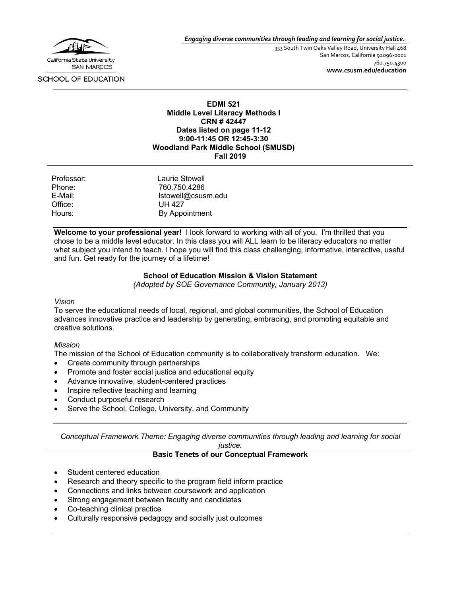

*Engaging diverse communities through leading and learning for social justice.*

333 South Twin Oaks Valley Road, University Hall 468 San Marcos, California 92096-0001 760.750.4300 **www.csusm.edu/education**

SCHOOL OF EDUCATION

#### **EDMI 521 Middle Level Literacy Methods I CRN # 42447 Dates listed on page 11-12 9:00-11:45 OR 12:45-3:30 Woodland Park Middle School (SMUSD) Fall 2019**

| Professor: | Laurie Stowell     |
|------------|--------------------|
| Phone:     | 760.750.4286       |
| E-Mail:    | Istowell@csusm.edu |
| Office:    | UH 427             |
| Hours:     | By Appointment     |

**Welcome to your professional year!** I look forward to working with all of you. I'm thrilled that you chose to be a middle level educator. In this class you will ALL learn to be literacy educators no matter what subject you intend to teach. I hope you will find this class challenging, informative, interactive, useful and fun. Get ready for the journey of a lifetime!

#### **School of Education Mission & Vision Statement**

*(Adopted by SOE Governance Community, January 2013)*

#### *Vision*

To serve the educational needs of local, regional, and global communities, the School of Education advances innovative practice and leadership by generating, embracing, and promoting equitable and creative solutions.

#### *Mission*

The mission of the School of Education community is to collaboratively transform education. We:

- Create community through partnerships
- Promote and foster social justice and educational equity
- Advance innovative, student-centered practices
- Inspire reflective teaching and learning
- Conduct purposeful research
- Serve the School, College, University, and Community

*Conceptual Framework Theme: Engaging diverse communities through leading and learning for social* 

#### *justice.*

#### **Basic Tenets of our Conceptual Framework**

- Student centered education
- Research and theory specific to the program field inform practice
- Connections and links between coursework and application
- Strong engagement between faculty and candidates
- Co-teaching clinical practice
- Culturally responsive pedagogy and socially just outcomes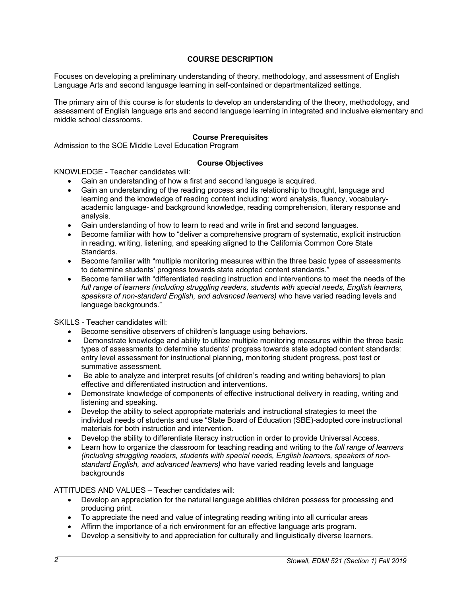### **COURSE DESCRIPTION**

Focuses on developing a preliminary understanding of theory, methodology, and assessment of English Language Arts and second language learning in self-contained or departmentalized settings.

The primary aim of this course is for students to develop an understanding of the theory, methodology, and assessment of English language arts and second language learning in integrated and inclusive elementary and middle school classrooms.

#### **Course Prerequisites**

Admission to the SOE Middle Level Education Program

#### **Course Objectives**

KNOWLEDGE - Teacher candidates will:

- Gain an understanding of how a first and second language is acquired.
- Gain an understanding of the reading process and its relationship to thought, language and learning and the knowledge of reading content including: word analysis, fluency, vocabularyacademic language- and background knowledge, reading comprehension, literary response and analysis.
- Gain understanding of how to learn to read and write in first and second languages.
- Become familiar with how to "deliver a comprehensive program of systematic, explicit instruction in reading, writing, listening, and speaking aligned to the California Common Core State Standards.
- Become familiar with "multiple monitoring measures within the three basic types of assessments to determine students' progress towards state adopted content standards."
- Become familiar with "differentiated reading instruction and interventions to meet the needs of the *full range of learners (including struggling readers, students with special needs, English learners, speakers of non-standard English, and advanced learners)* who have varied reading levels and language backgrounds."

SKILLS - Teacher candidates will:

- Become sensitive observers of children's language using behaviors.
- Demonstrate knowledge and ability to utilize multiple monitoring measures within the three basic types of assessments to determine students' progress towards state adopted content standards: entry level assessment for instructional planning, monitoring student progress, post test or summative assessment.
- Be able to analyze and interpret results [of children's reading and writing behaviors] to plan effective and differentiated instruction and interventions.
- Demonstrate knowledge of components of effective instructional delivery in reading, writing and listening and speaking.
- Develop the ability to select appropriate materials and instructional strategies to meet the individual needs of students and use "State Board of Education (SBE)-adopted core instructional materials for both instruction and intervention.
- Develop the ability to differentiate literacy instruction in order to provide Universal Access.
- Learn how to organize the classroom for teaching reading and writing to the *full range of learners (including struggling readers, students with special needs, English learners, speakers of nonstandard English, and advanced learners)* who have varied reading levels and language backgrounds

ATTITUDES AND VALUES – Teacher candidates will:

- Develop an appreciation for the natural language abilities children possess for processing and producing print.
- To appreciate the need and value of integrating reading writing into all curricular areas
- Affirm the importance of a rich environment for an effective language arts program.
- Develop a sensitivity to and appreciation for culturally and linguistically diverse learners.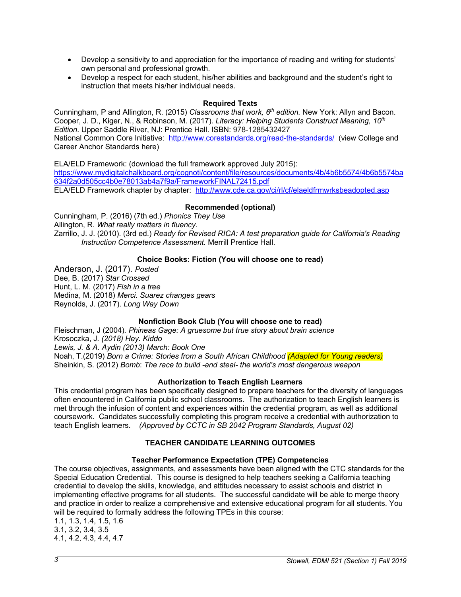- Develop a sensitivity to and appreciation for the importance of reading and writing for students' own personal and professional growth.
- Develop a respect for each student, his/her abilities and background and the student's right to instruction that meets his/her individual needs.

# **Required Texts**

Cunningham, P and Allington, R. (2015) *Classrooms that work, 6th edition.* New York: Allyn and Bacon. Cooper, J. D., Kiger, N., & Robinson, M. (2017). *Literacy: Helping Students Construct Meaning, 10th Edition*. Upper Saddle River, NJ: Prentice Hall. ISBN: 978-1285432427 National Common Core Initiative: http://www.corestandards.org/read-the-standards/ (view College and Career Anchor Standards here)

ELA/ELD Framework: (download the full framework approved July 2015): https://www.mydigitalchalkboard.org/cognoti/content/file/resources/documents/4b/4b6b5574/4b6b5574ba 634f2a0d505cc4b0e78013ab4a7f9a/FrameworkFINAL72415.pdf ELA/ELD Framework chapter by chapter: http://www.cde.ca.gov/ci/rl/cf/elaeldfrmwrksbeadopted.asp

# **Recommended (optional)**

Cunningham, P. (2016) (7th ed.) *Phonics They Use* Allington, R. *What really matters in fluency.* Zarrillo, J. J. (2010). (3rd ed.) *Ready for Revised RICA: A test preparation guide for California's Reading Instruction Competence Assessment.* Merrill Prentice Hall.

# **Choice Books: Fiction (You will choose one to read)**

Anderson, J. (2017). *Posted* Dee, B. (2017) *Star Crossed* Hunt, L. M. (2017) *Fish in a tree* Medina, M. (2018) *Merci. Suarez changes gears* Reynolds, J. (2017). *Long Way Down*

# **Nonfiction Book Club (You will choose one to read)**

Fleischman, J (2004)*. Phineas Gage: A gruesome but true story about brain science* Krosoczka, J*. (2018) Hey. Kiddo Lewis, J. & A. Aydin (2013) March: Book One* Noah, T.(2019) *Born a Crime: Stories from a South African Childhood (Adapted for Young readers)* Sheinkin, S. (2012) *Bomb*: *The race to build -and steal- the world's most dangerous weapon*

### **Authorization to Teach English Learners**

This credential program has been specifically designed to prepare teachers for the diversity of languages often encountered in California public school classrooms. The authorization to teach English learners is met through the infusion of content and experiences within the credential program, as well as additional coursework. Candidates successfully completing this program receive a credential with authorization to teach English learners. *(Approved by CCTC in SB 2042 Program Standards, August 02)*

# **TEACHER CANDIDATE LEARNING OUTCOMES**

# **Teacher Performance Expectation (TPE) Competencies**

The course objectives, assignments, and assessments have been aligned with the CTC standards for the Special Education Credential. This course is designed to help teachers seeking a California teaching credential to develop the skills, knowledge, and attitudes necessary to assist schools and district in implementing effective programs for all students. The successful candidate will be able to merge theory and practice in order to realize a comprehensive and extensive educational program for all students. You will be required to formally address the following TPEs in this course:

1.1, 1.3, 1.4, 1.5, 1.6 3.1, 3.2, 3.4, 3.5 4.1, 4.2, 4.3, 4.4, 4.7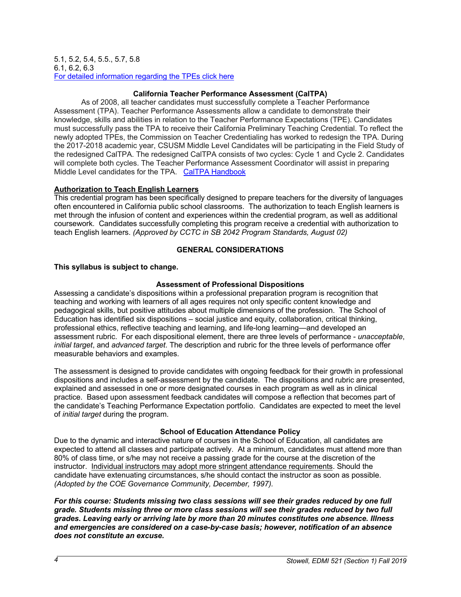#### 5.1, 5.2, 5.4, 5.5., 5.7, 5.8 6.1, 6.2, 6.3 For detailed information regarding the TPEs click here

## **California Teacher Performance Assessment (CalTPA)**

As of 2008, all teacher candidates must successfully complete a Teacher Performance Assessment (TPA). Teacher Performance Assessments allow a candidate to demonstrate their knowledge, skills and abilities in relation to the Teacher Performance Expectations (TPE). Candidates must successfully pass the TPA to receive their California Preliminary Teaching Credential. To reflect the newly adopted TPEs, the Commission on Teacher Credentialing has worked to redesign the TPA. During the 2017-2018 academic year, CSUSM Middle Level Candidates will be participating in the Field Study of the redesigned CalTPA. The redesigned CalTPA consists of two cycles: Cycle 1 and Cycle 2. Candidates will complete both cycles. The Teacher Performance Assessment Coordinator will assist in preparing Middle Level candidates for the TPA. CalTPA Handbook

### **Authorization to Teach English Learners**

This credential program has been specifically designed to prepare teachers for the diversity of languages often encountered in California public school classrooms. The authorization to teach English learners is met through the infusion of content and experiences within the credential program, as well as additional coursework. Candidates successfully completing this program receive a credential with authorization to teach English learners. *(Approved by CCTC in SB 2042 Program Standards, August 02)*

# **GENERAL CONSIDERATIONS**

# **This syllabus is subject to change.**

# **Assessment of Professional Dispositions**

Assessing a candidate's dispositions within a professional preparation program is recognition that teaching and working with learners of all ages requires not only specific content knowledge and pedagogical skills, but positive attitudes about multiple dimensions of the profession. The School of Education has identified six dispositions – social justice and equity, collaboration, critical thinking, professional ethics, reflective teaching and learning, and life-long learning—and developed an assessment rubric. For each dispositional element, there are three levels of performance - *unacceptable*, *initial target*, and *advanced target*. The description and rubric for the three levels of performance offer measurable behaviors and examples.

The assessment is designed to provide candidates with ongoing feedback for their growth in professional dispositions and includes a self-assessment by the candidate. The dispositions and rubric are presented, explained and assessed in one or more designated courses in each program as well as in clinical practice. Based upon assessment feedback candidates will compose a reflection that becomes part of the candidate's Teaching Performance Expectation portfolio. Candidates are expected to meet the level of *initial target* during the program.

### **School of Education Attendance Policy**

Due to the dynamic and interactive nature of courses in the School of Education, all candidates are expected to attend all classes and participate actively. At a minimum, candidates must attend more than 80% of class time, or s/he may not receive a passing grade for the course at the discretion of the instructor. Individual instructors may adopt more stringent attendance requirements. Should the candidate have extenuating circumstances, s/he should contact the instructor as soon as possible. *(Adopted by the COE Governance Community, December, 1997).*

*For this course: Students missing two class sessions will see their grades reduced by one full grade. Students missing three or more class sessions will see their grades reduced by two full grades. Leaving early or arriving late by more than 20 minutes constitutes one absence. Illness and emergencies are considered on a case-by-case basis; however, notification of an absence does not constitute an excuse.*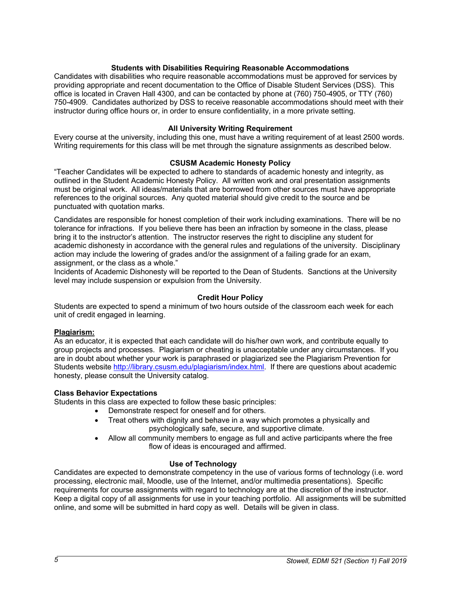### **Students with Disabilities Requiring Reasonable Accommodations**

Candidates with disabilities who require reasonable accommodations must be approved for services by providing appropriate and recent documentation to the Office of Disable Student Services (DSS). This office is located in Craven Hall 4300, and can be contacted by phone at (760) 750-4905, or TTY (760) 750-4909. Candidates authorized by DSS to receive reasonable accommodations should meet with their instructor during office hours or, in order to ensure confidentiality, in a more private setting.

#### **All University Writing Requirement**

Every course at the university, including this one, must have a writing requirement of at least 2500 words. Writing requirements for this class will be met through the signature assignments as described below.

#### **CSUSM Academic Honesty Policy**

"Teacher Candidates will be expected to adhere to standards of academic honesty and integrity, as outlined in the Student Academic Honesty Policy. All written work and oral presentation assignments must be original work. All ideas/materials that are borrowed from other sources must have appropriate references to the original sources. Any quoted material should give credit to the source and be punctuated with quotation marks.

Candidates are responsible for honest completion of their work including examinations. There will be no tolerance for infractions. If you believe there has been an infraction by someone in the class, please bring it to the instructor's attention. The instructor reserves the right to discipline any student for academic dishonesty in accordance with the general rules and regulations of the university. Disciplinary action may include the lowering of grades and/or the assignment of a failing grade for an exam, assignment, or the class as a whole."

Incidents of Academic Dishonesty will be reported to the Dean of Students. Sanctions at the University level may include suspension or expulsion from the University.

#### **Credit Hour Policy**

Students are expected to spend a minimum of two hours outside of the classroom each week for each unit of credit engaged in learning.

#### **Plagiarism:**

As an educator, it is expected that each candidate will do his/her own work, and contribute equally to group projects and processes. Plagiarism or cheating is unacceptable under any circumstances. If you are in doubt about whether your work is paraphrased or plagiarized see the Plagiarism Prevention for Students website http://library.csusm.edu/plagiarism/index.html. If there are questions about academic honesty, please consult the University catalog.

#### **Class Behavior Expectations**

Students in this class are expected to follow these basic principles:

- Demonstrate respect for oneself and for others.
- Treat others with dignity and behave in a way which promotes a physically and psychologically safe, secure, and supportive climate.
- Allow all community members to engage as full and active participants where the free flow of ideas is encouraged and affirmed.

### **Use of Technology**

Candidates are expected to demonstrate competency in the use of various forms of technology (i.e. word processing, electronic mail, Moodle, use of the Internet, and/or multimedia presentations). Specific requirements for course assignments with regard to technology are at the discretion of the instructor. Keep a digital copy of all assignments for use in your teaching portfolio. All assignments will be submitted online, and some will be submitted in hard copy as well. Details will be given in class.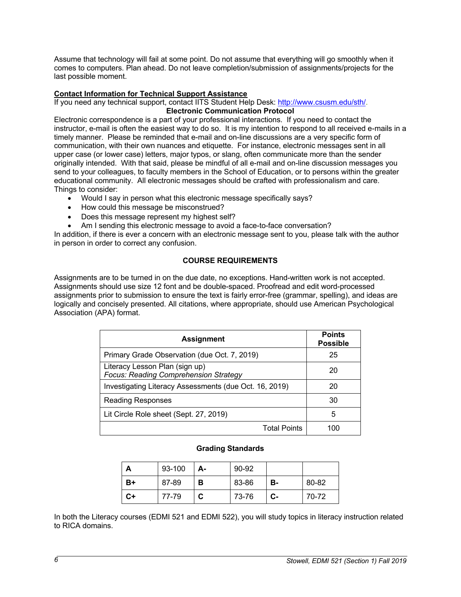Assume that technology will fail at some point. Do not assume that everything will go smoothly when it comes to computers. Plan ahead. Do not leave completion/submission of assignments/projects for the last possible moment.

### **Contact Information for Technical Support Assistance**

If you need any technical support, contact IITS Student Help Desk: http://www.csusm.edu/sth/.

#### **Electronic Communication Protocol**

Electronic correspondence is a part of your professional interactions. If you need to contact the instructor, e-mail is often the easiest way to do so. It is my intention to respond to all received e-mails in a timely manner. Please be reminded that e-mail and on-line discussions are a very specific form of communication, with their own nuances and etiquette. For instance, electronic messages sent in all upper case (or lower case) letters, major typos, or slang, often communicate more than the sender originally intended. With that said, please be mindful of all e-mail and on-line discussion messages you send to your colleagues, to faculty members in the School of Education, or to persons within the greater educational community. All electronic messages should be crafted with professionalism and care. Things to consider:

- Would I say in person what this electronic message specifically says?
- How could this message be misconstrued?
- Does this message represent my highest self?
- Am I sending this electronic message to avoid a face-to-face conversation?

In addition, if there is ever a concern with an electronic message sent to you, please talk with the author in person in order to correct any confusion.

### **COURSE REQUIREMENTS**

Assignments are to be turned in on the due date, no exceptions. Hand-written work is not accepted. Assignments should use size 12 font and be double-spaced. Proofread and edit word-processed assignments prior to submission to ensure the text is fairly error-free (grammar, spelling), and ideas are logically and concisely presented. All citations, where appropriate, should use American Psychological Association (APA) format.

| <b>Assignment</b>                                                              | <b>Points</b><br><b>Possible</b> |
|--------------------------------------------------------------------------------|----------------------------------|
| Primary Grade Observation (due Oct. 7, 2019)                                   | 25                               |
| Literacy Lesson Plan (sign up)<br><b>Focus: Reading Comprehension Strategy</b> | 20                               |
| Investigating Literacy Assessments (due Oct. 16, 2019)                         | 20                               |
| <b>Reading Responses</b>                                                       | 30                               |
| Lit Circle Role sheet (Sept. 27, 2019)                                         | 5                                |
| <b>Total Points</b>                                                            |                                  |

#### **Grading Standards**

|    | 93-100 | А- | 90-92 |    |       |
|----|--------|----|-------|----|-------|
| B+ | 87-89  | в  | 83-86 | в- | 80-82 |
| C+ | 77-79  | C. | 73-76 | С- | 70-72 |

In both the Literacy courses (EDMI 521 and EDMI 522), you will study topics in literacy instruction related to RICA domains.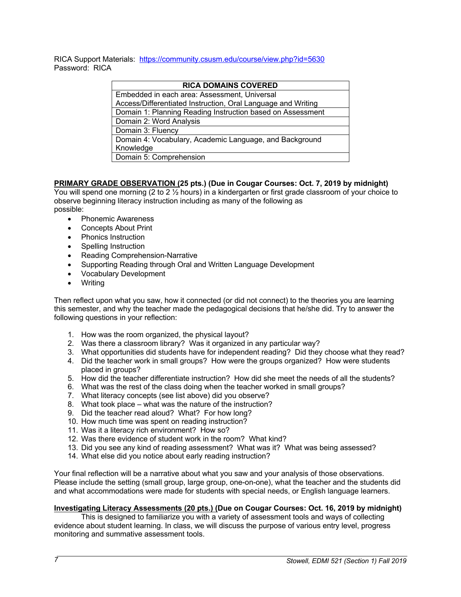RICA Support Materials: https://community.csusm.edu/course/view.php?id=5630 Password: RICA

#### **RICA DOMAINS COVERED**

| Embedded in each area: Assessment, Universal                 |  |  |
|--------------------------------------------------------------|--|--|
| Access/Differentiated Instruction, Oral Language and Writing |  |  |
| Domain 1: Planning Reading Instruction based on Assessment   |  |  |
| Domain 2: Word Analysis                                      |  |  |
| Domain 3: Fluency                                            |  |  |
| Domain 4: Vocabulary, Academic Language, and Background      |  |  |
| Knowledge                                                    |  |  |
| Domain 5: Comprehension                                      |  |  |

# **PRIMARY GRADE OBSERVATION (25 pts.) (Due in Cougar Courses: Oct. 7, 2019 by midnight)**

You will spend one morning (2 to 2 ½ hours) in a kindergarten or first grade classroom of your choice to observe beginning literacy instruction including as many of the following as possible:

- Phonemic Awareness
- Concepts About Print
- Phonics Instruction
- Spelling Instruction
- Reading Comprehension-Narrative
- Supporting Reading through Oral and Written Language Development
- Vocabulary Development
- Writing

Then reflect upon what you saw, how it connected (or did not connect) to the theories you are learning this semester, and why the teacher made the pedagogical decisions that he/she did. Try to answer the following questions in your reflection:

- 1. How was the room organized, the physical layout?
- 2. Was there a classroom library? Was it organized in any particular way?
- 3. What opportunities did students have for independent reading? Did they choose what they read?
- 4. Did the teacher work in small groups? How were the groups organized? How were students placed in groups?
- 5. How did the teacher differentiate instruction? How did she meet the needs of all the students?
- 6. What was the rest of the class doing when the teacher worked in small groups?
- 7. What literacy concepts (see list above) did you observe?
- 8. What took place what was the nature of the instruction?
- 9. Did the teacher read aloud? What? For how long?
- 10. How much time was spent on reading instruction?
- 11. Was it a literacy rich environment? How so?
- 12. Was there evidence of student work in the room? What kind?
- 13. Did you see any kind of reading assessment? What was it? What was being assessed?
- 14. What else did you notice about early reading instruction?

Your final reflection will be a narrative about what you saw and your analysis of those observations. Please include the setting (small group, large group, one-on-one), what the teacher and the students did and what accommodations were made for students with special needs, or English language learners.

### **Investigating Literacy Assessments (20 pts.) (Due on Cougar Courses: Oct. 16, 2019 by midnight)**

This is designed to familiarize you with a variety of assessment tools and ways of collecting evidence about student learning. In class, we will discuss the purpose of various entry level, progress monitoring and summative assessment tools.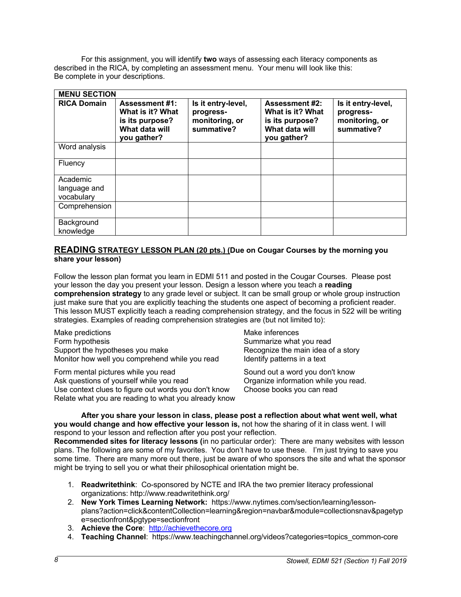For this assignment, you will identify **two** ways of assessing each literacy components as described in the RICA, by completing an assessment menu. Your menu will look like this: Be complete in your descriptions.

| <b>MENU SECTION</b>                    |                                                                                               |                                                                 |                                                                                               |                                                                 |
|----------------------------------------|-----------------------------------------------------------------------------------------------|-----------------------------------------------------------------|-----------------------------------------------------------------------------------------------|-----------------------------------------------------------------|
| <b>RICA Domain</b>                     | <b>Assessment #1:</b><br>What is it? What<br>is its purpose?<br>What data will<br>you gather? | Is it entry-level,<br>progress-<br>monitoring, or<br>summative? | <b>Assessment #2:</b><br>What is it? What<br>is its purpose?<br>What data will<br>you gather? | Is it entry-level,<br>progress-<br>monitoring, or<br>summative? |
| Word analysis                          |                                                                                               |                                                                 |                                                                                               |                                                                 |
| Fluency                                |                                                                                               |                                                                 |                                                                                               |                                                                 |
| Academic<br>language and<br>vocabulary |                                                                                               |                                                                 |                                                                                               |                                                                 |
| Comprehension                          |                                                                                               |                                                                 |                                                                                               |                                                                 |
| Background<br>knowledge                |                                                                                               |                                                                 |                                                                                               |                                                                 |

### **READING STRATEGY LESSON PLAN (20 pts.) (Due on Cougar Courses by the morning you share your lesson)**

Follow the lesson plan format you learn in EDMI 511 and posted in the Cougar Courses. Please post your lesson the day you present your lesson. Design a lesson where you teach a **reading comprehension strategy** to any grade level or subject. It can be small group or whole group instruction just make sure that you are explicitly teaching the students one aspect of becoming a proficient reader. This lesson MUST explicitly teach a reading comprehension strategy, and the focus in 522 will be writing strategies. Examples of reading comprehension strategies are (but not limited to):

Make predictions and the matter of the Make inferences Form hypothesis **Summarize** what you read Support the hypotheses you make Recognize the main idea of a story Monitor how well you comprehend while you read Identify patterns in a text

Form mental pictures while you read Sound out a word you don't know Ask questions of yourself while you read **Organize information while you read.** Use context clues to figure out words you don't know Choose books you can read Relate what you are reading to what you already know

**After you share your lesson in class, please post a reflection about what went well, what you would change and how effective your lesson is,** not how the sharing of it in class went. I will respond to your lesson and reflection after you post your reflection.

**Recommended sites for literacy lessons (**in no particular order): There are many websites with lesson plans. The following are some of my favorites. You don't have to use these. I'm just trying to save you some time. There are many more out there, just be aware of who sponsors the site and what the sponsor might be trying to sell you or what their philosophical orientation might be.

- 1. **Readwritethink**: Co-sponsored by NCTE and IRA the two premier literacy professional organizations: http://www.readwritethink.org/
- 2. **New York Times Learning Network:** https://www.nytimes.com/section/learning/lessonplans?action=click&contentCollection=learning&region=navbar&module=collectionsnav&pagetyp e=sectionfront&pgtype=sectionfront
- 3. **Achieve the Core**: http://achievethecore.org
- 4. **Teaching Channel**: https://www.teachingchannel.org/videos?categories=topics\_common-core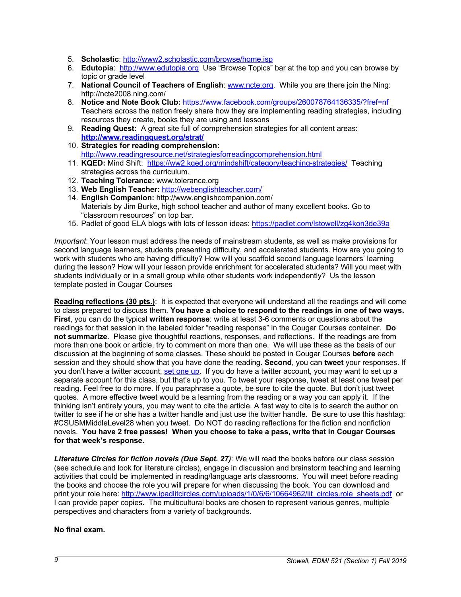- 5. **Scholastic**: http://www2.scholastic.com/browse/home.jsp
- 6. **Edutopia**: http://www.edutopia.org Use "Browse Topics" bar at the top and you can browse by topic or grade level
- 7. **National Council of Teachers of English**: www.ncte.org. While you are there join the Ning: http://ncte2008.ning.com/
- 8. **Notice and Note Book Club:** https://www.facebook.com/groups/260078764136335/?fref=nf Teachers across the nation freely share how they are implementing reading strategies, including resources they create, books they are using and lessons
- 9. **Reading Quest:** A great site full of comprehension strategies for all content areas: **http://www.readingquest.org/strat/**
- 10. **Strategies for reading comprehension:** http://www.readingresource.net/strategiesforreadingcomprehension.html
- 11. **KQED:** Mind Shift: https://ww2.kqed.org/mindshift/category/teaching-strategies/ Teaching strategies across the curriculum.
- 12. **Teaching Tolerance:** www.tolerance.org
- 13. **Web English Teacher:** http://webenglishteacher.com/
- 14. **English Companion:** http://www.englishcompanion.com/ Materials by Jim Burke, high school teacher and author of many excellent books. Go to "classroom resources" on top bar.
- 15. Padlet of good ELA blogs with lots of lesson ideas: https://padlet.com/lstowell/zg4kon3de39a

*Important*: Your lesson must address the needs of mainstream students, as well as make provisions for second language learners, students presenting difficulty, and accelerated students. How are you going to work with students who are having difficulty? How will you scaffold second language learners' learning during the lesson? How will your lesson provide enrichment for accelerated students? Will you meet with students individually or in a small group while other students work independently? Us the lesson template posted in Cougar Courses

**Reading reflections (30 pts.)**: It is expected that everyone will understand all the readings and will come to class prepared to discuss them. **You have a choice to respond to the readings in one of two ways. First**, you can do the typical **written response**: write at least 3-6 comments or questions about the readings for that session in the labeled folder "reading response" in the Cougar Courses container. **Do not summarize**. Please give thoughtful reactions, responses, and reflections. If the readings are from more than one book or article, try to comment on more than one. We will use these as the basis of our discussion at the beginning of some classes. These should be posted in Cougar Courses **before** each session and they should show that you have done the reading. **Second**, you can **tweet** your responses. If you don't have a twitter account, set one up. If you do have a twitter account, you may want to set up a separate account for this class, but that's up to you. To tweet your response, tweet at least one tweet per reading. Feel free to do more. If you paraphrase a quote, be sure to cite the quote. But don't just tweet quotes. A more effective tweet would be a learning from the reading or a way you can apply it. If the thinking isn't entirely yours, you may want to cite the article. A fast way to cite is to search the author on twitter to see if he or she has a twitter handle and just use the twitter handle. Be sure to use this hashtag: #CSUSMMiddleLevel28 when you tweet. Do NOT do reading reflections for the fiction and nonfiction novels. **You have 2 free passes! When you choose to take a pass, write that in Cougar Courses for that week's response.**

*Literature Circles for fiction novels (Due Sept. 27)*: We will read the books before our class session (see schedule and look for literature circles), engage in discussion and brainstorm teaching and learning activities that could be implemented in reading/language arts classrooms. You will meet before reading the books and choose the role you will prepare for when discussing the book. You can download and print your role here: http://www.ipadlitcircles.com/uploads/1/0/6/6/10664962/lit\_circles.role\_sheets.pdf or I can provide paper copies. The multicultural books are chosen to represent various genres, multiple perspectives and characters from a variety of backgrounds.

### **No final exam.**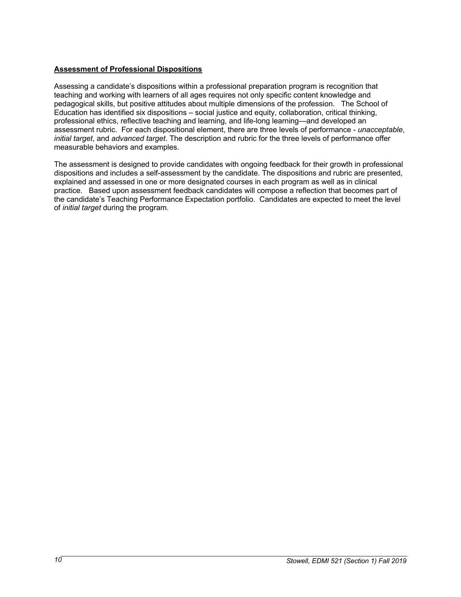### **Assessment of Professional Dispositions**

Assessing a candidate's dispositions within a professional preparation program is recognition that teaching and working with learners of all ages requires not only specific content knowledge and pedagogical skills, but positive attitudes about multiple dimensions of the profession. The School of Education has identified six dispositions – social justice and equity, collaboration, critical thinking, professional ethics, reflective teaching and learning, and life-long learning—and developed an assessment rubric. For each dispositional element, there are three levels of performance - *unacceptable*, *initial target*, and *advanced target*. The description and rubric for the three levels of performance offer measurable behaviors and examples.

The assessment is designed to provide candidates with ongoing feedback for their growth in professional dispositions and includes a self-assessment by the candidate. The dispositions and rubric are presented, explained and assessed in one or more designated courses in each program as well as in clinical practice. Based upon assessment feedback candidates will compose a reflection that becomes part of the candidate's Teaching Performance Expectation portfolio. Candidates are expected to meet the level of *initial target* during the program.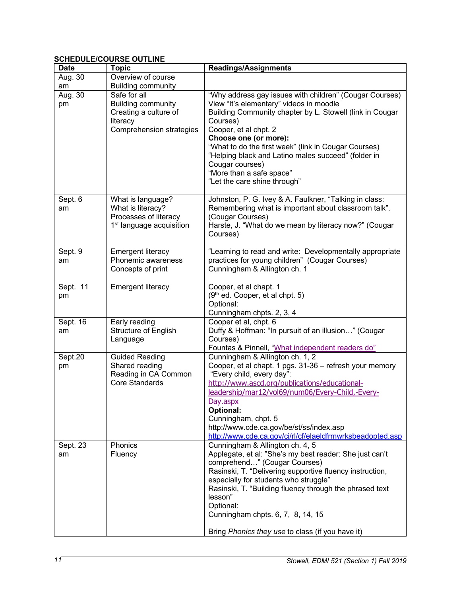# **SCHEDULE/COURSE OUTLINE**

| <b>Date</b>   | <b>Topic</b>                                                                                               | <b>Readings/Assignments</b>                                                                                                                                                                                                                                                                                                                                                                                                |
|---------------|------------------------------------------------------------------------------------------------------------|----------------------------------------------------------------------------------------------------------------------------------------------------------------------------------------------------------------------------------------------------------------------------------------------------------------------------------------------------------------------------------------------------------------------------|
| Aug. 30       | Overview of course                                                                                         |                                                                                                                                                                                                                                                                                                                                                                                                                            |
| am            | <b>Building community</b>                                                                                  |                                                                                                                                                                                                                                                                                                                                                                                                                            |
| Aug. 30<br>pm | Safe for all<br><b>Building community</b><br>Creating a culture of<br>literacy<br>Comprehension strategies | "Why address gay issues with children" (Cougar Courses)<br>View "It's elementary" videos in moodle<br>Building Community chapter by L. Stowell (link in Cougar<br>Courses)<br>Cooper, et al chpt. 2<br>Choose one (or more):<br>"What to do the first week" (link in Cougar Courses)<br>"Helping black and Latino males succeed" (folder in<br>Cougar courses)<br>"More than a safe space"<br>"Let the care shine through" |
| Sept. 6       | What is language?                                                                                          | Johnston, P. G. Ivey & A. Faulkner, "Talking in class:                                                                                                                                                                                                                                                                                                                                                                     |
| am            | What is literacy?<br>Processes of literacy                                                                 | Remembering what is important about classroom talk".<br>(Cougar Courses)                                                                                                                                                                                                                                                                                                                                                   |
|               | 1 <sup>st</sup> language acquisition                                                                       | Harste, J. "What do we mean by literacy now?" (Cougar<br>Courses)                                                                                                                                                                                                                                                                                                                                                          |
| Sept. 9       | <b>Emergent literacy</b>                                                                                   | "Learning to read and write: Developmentally appropriate                                                                                                                                                                                                                                                                                                                                                                   |
| am            | Phonemic awareness                                                                                         | practices for young children" (Cougar Courses)                                                                                                                                                                                                                                                                                                                                                                             |
|               | Concepts of print                                                                                          | Cunningham & Allington ch. 1                                                                                                                                                                                                                                                                                                                                                                                               |
| Sept. 11      | <b>Emergent literacy</b>                                                                                   | Cooper, et al chapt. 1                                                                                                                                                                                                                                                                                                                                                                                                     |
| pm            |                                                                                                            | (9 <sup>th</sup> ed. Cooper, et al chpt. 5)<br>Optional:                                                                                                                                                                                                                                                                                                                                                                   |
|               |                                                                                                            | Cunningham chpts. 2, 3, 4                                                                                                                                                                                                                                                                                                                                                                                                  |
| Sept. 16      | Early reading                                                                                              | Cooper et al, chpt. 6                                                                                                                                                                                                                                                                                                                                                                                                      |
| am            | Structure of English                                                                                       | Duffy & Hoffman: "In pursuit of an illusion" (Cougar                                                                                                                                                                                                                                                                                                                                                                       |
|               | Language                                                                                                   | Courses)<br>Fountas & Pinnell, "What independent readers do"                                                                                                                                                                                                                                                                                                                                                               |
| Sept.20       | <b>Guided Reading</b>                                                                                      | Cunningham & Allington ch. 1, 2                                                                                                                                                                                                                                                                                                                                                                                            |
| pm            | Shared reading                                                                                             | Cooper, et al chapt. 1 pgs. 31-36 - refresh your memory                                                                                                                                                                                                                                                                                                                                                                    |
|               | Reading in CA Common<br><b>Core Standards</b>                                                              | "Every child, every day":                                                                                                                                                                                                                                                                                                                                                                                                  |
|               |                                                                                                            | http://www.ascd.org/publications/educational-<br>leadership/mar12/vol69/num06/Every-Child,-Every-                                                                                                                                                                                                                                                                                                                          |
|               |                                                                                                            | Day.aspx                                                                                                                                                                                                                                                                                                                                                                                                                   |
|               |                                                                                                            | Optional:                                                                                                                                                                                                                                                                                                                                                                                                                  |
|               |                                                                                                            | Cunningham, chpt. 5<br>http://www.cde.ca.gov/be/st/ss/index.asp                                                                                                                                                                                                                                                                                                                                                            |
|               |                                                                                                            | http://www.cde.ca.gov/ci/rl/cf/elaeldfrmwrksbeadopted.asp                                                                                                                                                                                                                                                                                                                                                                  |
| Sept. 23      | Phonics                                                                                                    | Cunningham & Allington ch. 4, 5                                                                                                                                                                                                                                                                                                                                                                                            |
| am            | Fluency                                                                                                    | Applegate, et al: "She's my best reader: She just can't                                                                                                                                                                                                                                                                                                                                                                    |
|               |                                                                                                            | comprehend" (Cougar Courses)<br>Rasinski, T. "Delivering supportive fluency instruction,                                                                                                                                                                                                                                                                                                                                   |
|               |                                                                                                            | especially for students who struggle"                                                                                                                                                                                                                                                                                                                                                                                      |
|               |                                                                                                            | Rasinski, T. "Building fluency through the phrased text                                                                                                                                                                                                                                                                                                                                                                    |
|               |                                                                                                            | lesson"                                                                                                                                                                                                                                                                                                                                                                                                                    |
|               |                                                                                                            | Optional:<br>Cunningham chpts. 6, 7, 8, 14, 15                                                                                                                                                                                                                                                                                                                                                                             |
|               |                                                                                                            | Bring Phonics they use to class (if you have it)                                                                                                                                                                                                                                                                                                                                                                           |